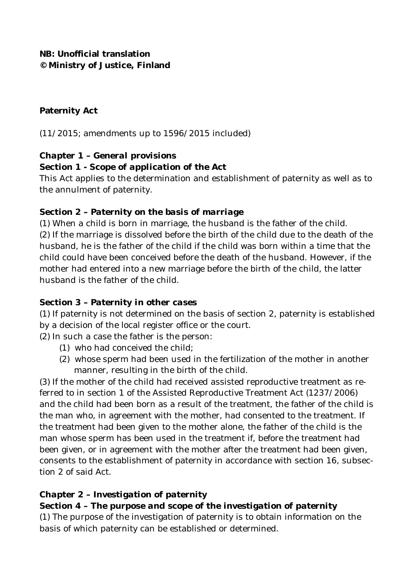**NB: Unofficial translation © Ministry of Justice, Finland**

#### **Paternity Act**

(11/2015; amendments up to 1596/2015 included)

### *Chapter 1 – General provisions*

#### **Section 1 -** *Scope of application of the Act*

This Act applies to the determination and establishment of paternity as well as to the annulment of paternity.

#### **Section 2 –** *Paternity on the basis of marriage*

(1) When a child is born in marriage, the husband is the father of the child. (2) If the marriage is dissolved before the birth of the child due to the death of the husband, he is the father of the child if the child was born within a time that the child could have been conceived before the death of the husband. However, if the mother had entered into a new marriage before the birth of the child, the latter husband is the father of the child.

### **Section 3 –** *Paternity in other cases*

(1) If paternity is not determined on the basis of section 2, paternity is established by a decision of the local register office or the court.

(2) In such a case the father is the person:

- (1) who had conceived the child;
- (2) whose sperm had been used in the fertilization of the mother in another manner, resulting in the birth of the child.

(3) If the mother of the child had received assisted reproductive treatment as referred to in section 1 of the Assisted Reproductive Treatment Act (1237/2006) and the child had been born as a result of the treatment, the father of the child is the man who, in agreement with the mother, had consented to the treatment. If the treatment had been given to the mother alone, the father of the child is the man whose sperm has been used in the treatment if, before the treatment had been given, or in agreement with the mother after the treatment had been given, consents to the establishment of paternity in accordance with section 16, subsection 2 of said Act.

### *Chapter 2 – Investigation of paternity*

#### **Section 4 –** *The purpose and scope of the investigation of paternity* (1) The purpose of the investigation of paternity is to obtain information on the basis of which paternity can be established or determined.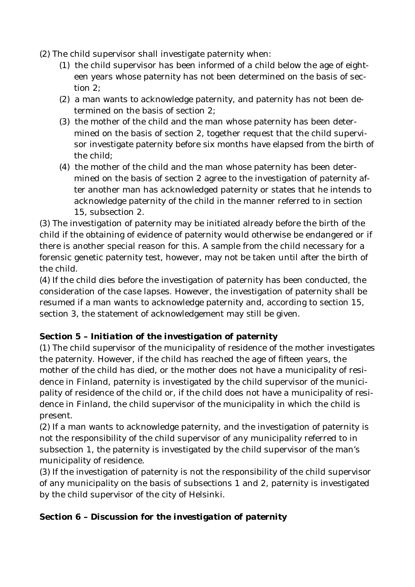- (2) The child supervisor shall investigate paternity when:
	- (1) the child supervisor has been informed of a child below the age of eighteen years whose paternity has not been determined on the basis of section 2;
	- (2) a man wants to acknowledge paternity, and paternity has not been determined on the basis of section 2;
	- (3) the mother of the child and the man whose paternity has been determined on the basis of section 2, together request that the child supervisor investigate paternity before six months have elapsed from the birth of the child;
	- (4) the mother of the child and the man whose paternity has been determined on the basis of section 2 agree to the investigation of paternity after another man has acknowledged paternity or states that he intends to acknowledge paternity of the child in the manner referred to in section 15, subsection 2.

(3) The investigation of paternity may be initiated already before the birth of the child if the obtaining of evidence of paternity would otherwise be endangered or if there is another special reason for this. A sample from the child necessary for a forensic genetic paternity test, however, may not be taken until after the birth of the child.

(4) If the child dies before the investigation of paternity has been conducted, the consideration of the case lapses. However, the investigation of paternity shall be resumed if a man wants to acknowledge paternity and, according to section 15, section 3, the statement of acknowledgement may still be given.

## **Section 5 –** *Initiation of the investigation of paternity*

(1) The child supervisor of the municipality of residence of the mother investigates the paternity. However, if the child has reached the age of fifteen years, the mother of the child has died, or the mother does not have a municipality of residence in Finland, paternity is investigated by the child supervisor of the municipality of residence of the child or, if the child does not have a municipality of residence in Finland, the child supervisor of the municipality in which the child is present.

(2) If a man wants to acknowledge paternity, and the investigation of paternity is not the responsibility of the child supervisor of any municipality referred to in subsection 1, the paternity is investigated by the child supervisor of the man's municipality of residence.

(3) If the investigation of paternity is not the responsibility of the child supervisor of any municipality on the basis of subsections 1 and 2, paternity is investigated by the child supervisor of the city of Helsinki.

### **Section 6 –** *Discussion for the investigation of paternity*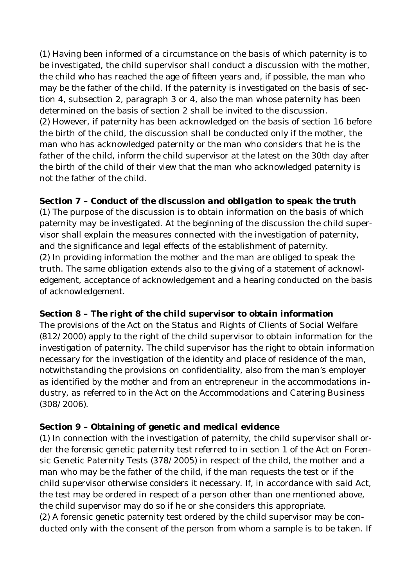(1) Having been informed of a circumstance on the basis of which paternity is to be investigated, the child supervisor shall conduct a discussion with the mother, the child who has reached the age of fifteen years and, if possible, the man who may be the father of the child. If the paternity is investigated on the basis of section 4, subsection 2, paragraph 3 or 4, also the man whose paternity has been determined on the basis of section 2 shall be invited to the discussion. (2) However, if paternity has been acknowledged on the basis of section 16 before the birth of the child, the discussion shall be conducted only if the mother, the man who has acknowledged paternity or the man who considers that he is the father of the child, inform the child supervisor at the latest on the 30th day after the birth of the child of their view that the man who acknowledged paternity is not the father of the child.

**Section 7** *– Conduct of the discussion and obligation to speak the truth* (1) The purpose of the discussion is to obtain information on the basis of which paternity may be investigated. At the beginning of the discussion the child supervisor shall explain the measures connected with the investigation of paternity, and the significance and legal effects of the establishment of paternity. (2) In providing information the mother and the man are obliged to speak the truth. The same obligation extends also to the giving of a statement of acknowledgement, acceptance of acknowledgement and a hearing conducted on the basis of acknowledgement.

**Section 8 –** *The right of the child supervisor to obtain information* The provisions of the Act on the Status and Rights of Clients of Social Welfare (812/2000) apply to the right of the child supervisor to obtain information for the investigation of paternity. The child supervisor has the right to obtain information necessary for the investigation of the identity and place of residence of the man, notwithstanding the provisions on confidentiality, also from the man's employer as identified by the mother and from an entrepreneur in the accommodations industry, as referred to in the Act on the Accommodations and Catering Business (308/2006).

### **Section 9 –** *Obtaining of genetic and medical evidence*

(1) In connection with the investigation of paternity, the child supervisor shall order the forensic genetic paternity test referred to in section 1 of the Act on Forensic Genetic Paternity Tests (378/2005) in respect of the child, the mother and a man who may be the father of the child, if the man requests the test or if the child supervisor otherwise considers it necessary. If, in accordance with said Act, the test may be ordered in respect of a person other than one mentioned above, the child supervisor may do so if he or she considers this appropriate. (2) A forensic genetic paternity test ordered by the child supervisor may be conducted only with the consent of the person from whom a sample is to be taken. If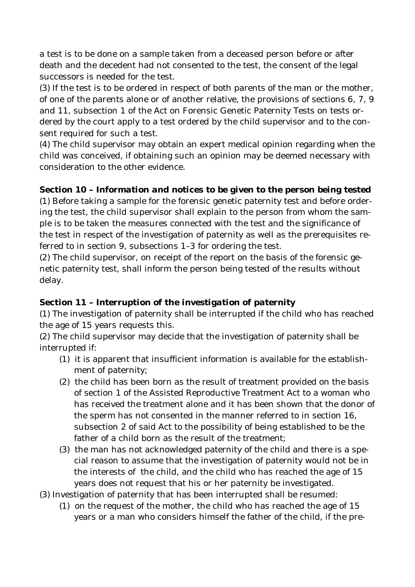a test is to be done on a sample taken from a deceased person before or after death and the decedent had not consented to the test, the consent of the legal successors is needed for the test.

(3) If the test is to be ordered in respect of both parents of the man or the mother, of one of the parents alone or of another relative, the provisions of sections 6, 7, 9 and 11, subsection 1 of the Act on Forensic Genetic Paternity Tests on tests ordered by the court apply to a test ordered by the child supervisor and to the consent required for such a test.

(4) The child supervisor may obtain an expert medical opinion regarding when the child was conceived, if obtaining such an opinion may be deemed necessary with consideration to the other evidence.

**Section 10 –** *Information and notices to be given to the person being tested* (1) Before taking a sample for the forensic genetic paternity test and before ordering the test, the child supervisor shall explain to the person from whom the sample is to be taken the measures connected with the test and the significance of the test in respect of the investigation of paternity as well as the prerequisites referred to in section 9, subsections 1–3 for ordering the test.

(2) The child supervisor, on receipt of the report on the basis of the forensic genetic paternity test, shall inform the person being tested of the results without delay.

### **Section 11 –** *Interruption of the investigation of paternity*

(1) The investigation of paternity shall be interrupted if the child who has reached the age of 15 years requests this.

(2) The child supervisor may decide that the investigation of paternity shall be interrupted if:

- (1) it is apparent that insufficient information is available for the establishment of paternity;
- (2) the child has been born as the result of treatment provided on the basis of section 1 of the Assisted Reproductive Treatment Act to a woman who has received the treatment alone and it has been shown that the donor of the sperm has not consented in the manner referred to in section 16, subsection 2 of said Act to the possibility of being established to be the father of a child born as the result of the treatment;
- (3) the man has not acknowledged paternity of the child and there is a special reason to assume that the investigation of paternity would not be in the interests of the child, and the child who has reached the age of 15 years does not request that his or her paternity be investigated.
- (3) Investigation of paternity that has been interrupted shall be resumed:
	- (1) on the request of the mother, the child who has reached the age of 15 years or a man who considers himself the father of the child, if the pre-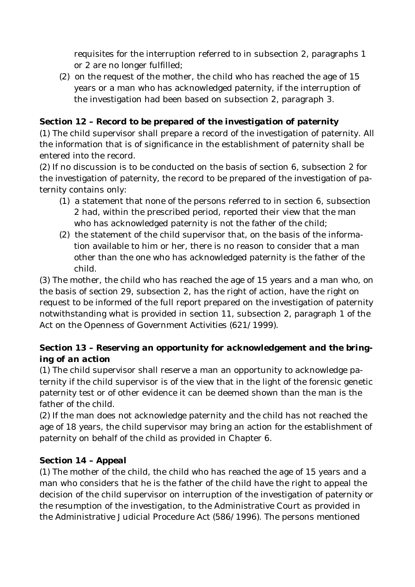requisites for the interruption referred to in subsection 2, paragraphs 1 or 2 are no longer fulfilled;

(2) on the request of the mother, the child who has reached the age of 15 years or a man who has acknowledged paternity, if the interruption of the investigation had been based on subsection 2, paragraph 3.

**Section 12 –** *Record to be prepared of the investigation of paternity* (1) The child supervisor shall prepare a record of the investigation of paternity. All the information that is of significance in the establishment of paternity shall be entered into the record.

(2) If no discussion is to be conducted on the basis of section 6, subsection 2 for the investigation of paternity, the record to be prepared of the investigation of paternity contains only:

- (1) a statement that none of the persons referred to in section 6, subsection 2 had, within the prescribed period, reported their view that the man who has acknowledged paternity is not the father of the child;
- (2) the statement of the child supervisor that, on the basis of the information available to him or her, there is no reason to consider that a man other than the one who has acknowledged paternity is the father of the child.

(3) The mother, the child who has reached the age of 15 years and a man who, on the basis of section 29, subsection 2, has the right of action, have the right on request to be informed of the full report prepared on the investigation of paternity notwithstanding what is provided in section 11, subsection 2, paragraph 1 of the Act on the Openness of Government Activities (621/1999).

# **Section 13 –** *Reserving an opportunity for acknowledgement and the bringing of an action*

(1) The child supervisor shall reserve a man an opportunity to acknowledge paternity if the child supervisor is of the view that in the light of the forensic genetic paternity test or of other evidence it can be deemed shown than the man is the father of the child.

(2) If the man does not acknowledge paternity and the child has not reached the age of 18 years, the child supervisor may bring an action for the establishment of paternity on behalf of the child as provided in Chapter 6.

## **Section 14 –** *Appeal*

(1) The mother of the child, the child who has reached the age of 15 years and a man who considers that he is the father of the child have the right to appeal the decision of the child supervisor on interruption of the investigation of paternity or the resumption of the investigation, to the Administrative Court as provided in the Administrative Judicial Procedure Act (586/1996). The persons mentioned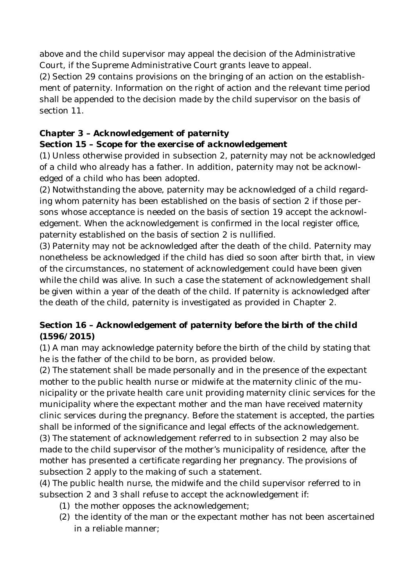above and the child supervisor may appeal the decision of the Administrative Court, if the Supreme Administrative Court grants leave to appeal.

(2) Section 29 contains provisions on the bringing of an action on the establishment of paternity. Information on the right of action and the relevant time period shall be appended to the decision made by the child supervisor on the basis of section 11.

# *Chapter 3 – Acknowledgement of paternity*

## **Section 15 –** *Scope for the exercise of acknowledgement*

(1) Unless otherwise provided in subsection 2, paternity may not be acknowledged of a child who already has a father. In addition, paternity may not be acknowledged of a child who has been adopted.

(2) Notwithstanding the above, paternity may be acknowledged of a child regarding whom paternity has been established on the basis of section 2 if those persons whose acceptance is needed on the basis of section 19 accept the acknowledgement. When the acknowledgement is confirmed in the local register office, paternity established on the basis of section 2 is nullified.

(3) Paternity may not be acknowledged after the death of the child. Paternity may nonetheless be acknowledged if the child has died so soon after birth that, in view of the circumstances, no statement of acknowledgement could have been given while the child was alive. In such a case the statement of acknowledgement shall be given within a year of the death of the child. If paternity is acknowledged after the death of the child, paternity is investigated as provided in Chapter 2.

## **Section 16 –** *Acknowledgement of paternity before the birth of the child* **(1596/2015)**

(1) A man may acknowledge paternity before the birth of the child by stating that he is the father of the child to be born, as provided below.

(2) The statement shall be made personally and in the presence of the expectant mother to the public health nurse or midwife at the maternity clinic of the municipality or the private health care unit providing maternity clinic services for the municipality where the expectant mother and the man have received maternity clinic services during the pregnancy. Before the statement is accepted, the parties shall be informed of the significance and legal effects of the acknowledgement. (3) The statement of acknowledgement referred to in subsection 2 may also be made to the child supervisor of the mother's municipality of residence, after the mother has presented a certificate regarding her pregnancy. The provisions of subsection 2 apply to the making of such a statement.

(4) The public health nurse, the midwife and the child supervisor referred to in subsection 2 and 3 shall refuse to accept the acknowledgement if:

- (1) the mother opposes the acknowledgement;
- (2) the identity of the man or the expectant mother has not been ascertained in a reliable manner;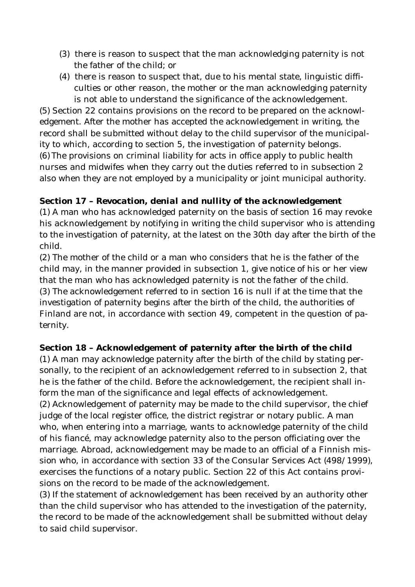- (3) there is reason to suspect that the man acknowledging paternity is not the father of the child; or
- (4) there is reason to suspect that, due to his mental state, linguistic difficulties or other reason, the mother or the man acknowledging paternity is not able to understand the significance of the acknowledgement.

(5) Section 22 contains provisions on the record to be prepared on the acknowledgement. After the mother has accepted the acknowledgement in writing, the record shall be submitted without delay to the child supervisor of the municipality to which, according to section 5, the investigation of paternity belongs. (6) The provisions on criminal liability for acts in office apply to public health nurses and midwifes when they carry out the duties referred to in subsection 2 also when they are not employed by a municipality or joint municipal authority.

**Section 17 –** *Revocation, denial and nullity of the acknowledgement* (1) A man who has acknowledged paternity on the basis of section 16 may revoke his acknowledgement by notifying in writing the child supervisor who is attending to the investigation of paternity, at the latest on the 30th day after the birth of the child.

(2) The mother of the child or a man who considers that he is the father of the child may, in the manner provided in subsection 1, give notice of his or her view that the man who has acknowledged paternity is not the father of the child. (3) The acknowledgement referred to in section 16 is null if at the time that the investigation of paternity begins after the birth of the child, the authorities of Finland are not, in accordance with section 49, competent in the question of paternity.

**Section 18 –** *Acknowledgement of paternity after the birth of the child* (1) A man may acknowledge paternity after the birth of the child by stating personally, to the recipient of an acknowledgement referred to in subsection 2, that he is the father of the child. Before the acknowledgement, the recipient shall inform the man of the significance and legal effects of acknowledgement.

(2) Acknowledgement of paternity may be made to the child supervisor, the chief judge of the local register office, the district registrar or notary public. A man who, when entering into a marriage, wants to acknowledge paternity of the child of his fiancé, may acknowledge paternity also to the person officiating over the marriage. Abroad, acknowledgement may be made to an official of a Finnish mission who, in accordance with section 33 of the Consular Services Act (498/1999), exercises the functions of a notary public. Section 22 of this Act contains provisions on the record to be made of the acknowledgement.

(3) If the statement of acknowledgement has been received by an authority other than the child supervisor who has attended to the investigation of the paternity, the record to be made of the acknowledgement shall be submitted without delay to said child supervisor.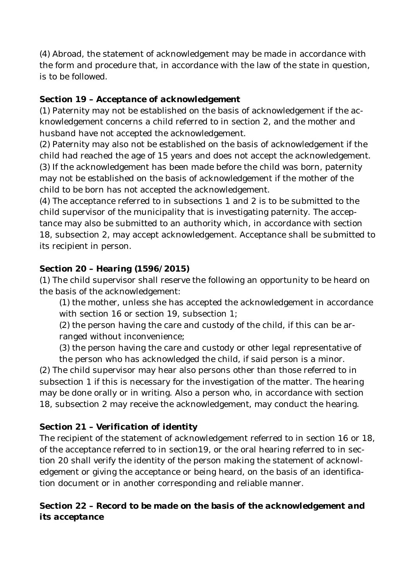(4) Abroad, the statement of acknowledgement may be made in accordance with the form and procedure that, in accordance with the law of the state in question, is to be followed.

### **Section 19 –** *Acceptance of acknowledgement*

(1) Paternity may not be established on the basis of acknowledgement if the acknowledgement concerns a child referred to in section 2, and the mother and husband have not accepted the acknowledgement.

(2) Paternity may also not be established on the basis of acknowledgement if the child had reached the age of 15 years and does not accept the acknowledgement. (3) If the acknowledgement has been made before the child was born, paternity may not be established on the basis of acknowledgement if the mother of the child to be born has not accepted the acknowledgement.

(4) The acceptance referred to in subsections 1 and 2 is to be submitted to the child supervisor of the municipality that is investigating paternity. The acceptance may also be submitted to an authority which, in accordance with section 18, subsection 2, may accept acknowledgement. Acceptance shall be submitted to its recipient in person.

## **Section 20 –** *Hearing* **(1596/2015)**

(1) The child supervisor shall reserve the following an opportunity to be heard on the basis of the acknowledgement:

(1) the mother, unless she has accepted the acknowledgement in accordance with section 16 or section 19, subsection 1;

(2) the person having the care and custody of the child, if this can be arranged without inconvenience;

(3) the person having the care and custody or other legal representative of the person who has acknowledged the child, if said person is a minor.

(2) The child supervisor may hear also persons other than those referred to in subsection 1 if this is necessary for the investigation of the matter. The hearing may be done orally or in writing. Also a person who, in accordance with section 18, subsection 2 may receive the acknowledgement, may conduct the hearing.

## **Section 21 –** *Verification of identity*

The recipient of the statement of acknowledgement referred to in section 16 or 18, of the acceptance referred to in section19, or the oral hearing referred to in section 20 shall verify the identity of the person making the statement of acknowledgement or giving the acceptance or being heard, on the basis of an identification document or in another corresponding and reliable manner.

**Section 22 –** *Record to be made on the basis of the acknowledgement and its acceptance*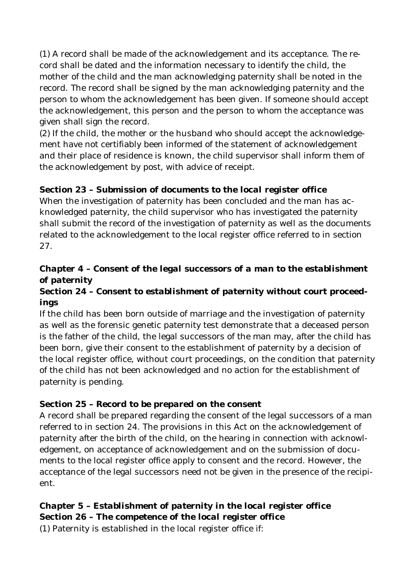(1) A record shall be made of the acknowledgement and its acceptance. The record shall be dated and the information necessary to identify the child, the mother of the child and the man acknowledging paternity shall be noted in the record. The record shall be signed by the man acknowledging paternity and the person to whom the acknowledgement has been given. If someone should accept the acknowledgement, this person and the person to whom the acceptance was given shall sign the record.

(2) If the child, the mother or the husband who should accept the acknowledgement have not certifiably been informed of the statement of acknowledgement and their place of residence is known, the child supervisor shall inform them of the acknowledgement by post, with advice of receipt.

### **Section 23 –** *Submission of documents to the local register office* When the investigation of paternity has been concluded and the man has acknowledged paternity, the child supervisor who has investigated the paternity shall submit the record of the investigation of paternity as well as the documents related to the acknowledgement to the local register office referred to in section 27.

# *Chapter 4 – Consent of the legal successors of a man to the establishment of paternity*

### **Section 24 –** *Consent to establishment of paternity without court proceedings*

If the child has been born outside of marriage and the investigation of paternity as well as the forensic genetic paternity test demonstrate that a deceased person is the father of the child, the legal successors of the man may, after the child has been born, give their consent to the establishment of paternity by a decision of the local register office, without court proceedings, on the condition that paternity of the child has not been acknowledged and no action for the establishment of paternity is pending.

# **Section 25 –** *Record to be prepared on the consent*

A record shall be prepared regarding the consent of the legal successors of a man referred to in section 24. The provisions in this Act on the acknowledgement of paternity after the birth of the child, on the hearing in connection with acknowledgement, on acceptance of acknowledgement and on the submission of documents to the local register office apply to consent and the record. However, the acceptance of the legal successors need not be given in the presence of the recipient.

*Chapter 5 – Establishment of paternity in the local register office* **Section 26 –** *The competence of the local register office* (1) Paternity is established in the local register office if: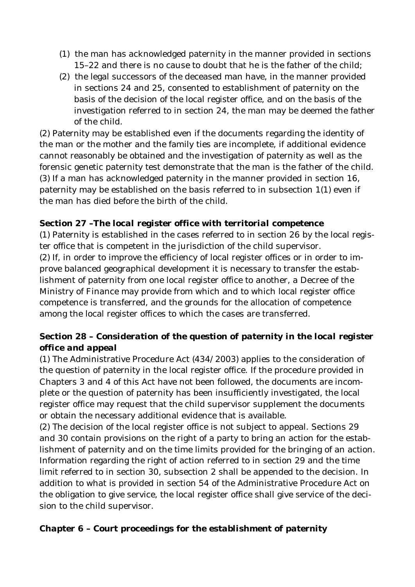- (1) the man has acknowledged paternity in the manner provided in sections 15–22 and there is no cause to doubt that he is the father of the child;
- (2) the legal successors of the deceased man have, in the manner provided in sections 24 and 25, consented to establishment of paternity on the basis of the decision of the local register office, and on the basis of the investigation referred to in section 24, the man may be deemed the father of the child.

(2) Paternity may be established even if the documents regarding the identity of the man or the mother and the family ties are incomplete, if additional evidence cannot reasonably be obtained and the investigation of paternity as well as the forensic genetic paternity test demonstrate that the man is the father of the child. (3) If a man has acknowledged paternity in the manner provided in section 16, paternity may be established on the basis referred to in subsection 1(1) even if the man has died before the birth of the child.

### **Section 27 –***The local register office with territorial competence*

(1) Paternity is established in the cases referred to in section 26 by the local register office that is competent in the jurisdiction of the child supervisor. (2) If, in order to improve the efficiency of local register offices or in order to improve balanced geographical development it is necessary to transfer the establishment of paternity from one local register office to another, a Decree of the Ministry of Finance may provide from which and to which local register office competence is transferred, and the grounds for the allocation of competence among the local register offices to which the cases are transferred.

### **Section 28 –** *Consideration of the question of paternity in the local register office and appeal*

(1) The Administrative Procedure Act (434/2003) applies to the consideration of the question of paternity in the local register office. If the procedure provided in Chapters 3 and 4 of this Act have not been followed, the documents are incomplete or the question of paternity has been insufficiently investigated, the local register office may request that the child supervisor supplement the documents or obtain the necessary additional evidence that is available.

(2) The decision of the local register office is not subject to appeal. Sections 29 and 30 contain provisions on the right of a party to bring an action for the establishment of paternity and on the time limits provided for the bringing of an action. Information regarding the right of action referred to in section 29 and the time limit referred to in section 30, subsection 2 shall be appended to the decision. In addition to what is provided in section 54 of the Administrative Procedure Act on the obligation to give service, the local register office shall give service of the decision to the child supervisor.

*Chapter 6 – Court proceedings for the establishment of paternity*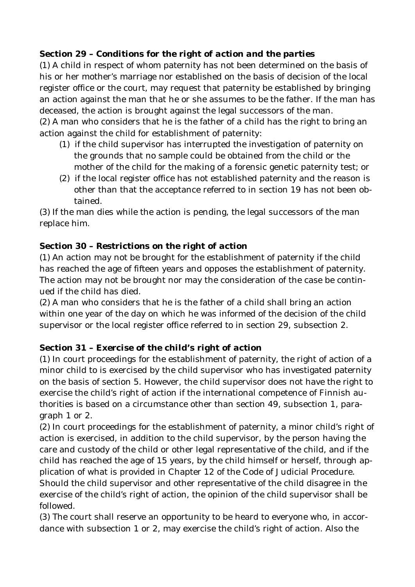## **Section 29 –** *Conditions for the right of action and the parties*

(1) A child in respect of whom paternity has not been determined on the basis of his or her mother's marriage nor established on the basis of decision of the local register office or the court, may request that paternity be established by bringing an action against the man that he or she assumes to be the father. If the man has deceased, the action is brought against the legal successors of the man. (2) A man who considers that he is the father of a child has the right to bring an action against the child for establishment of paternity:

- (1) if the child supervisor has interrupted the investigation of paternity on the grounds that no sample could be obtained from the child or the mother of the child for the making of a forensic genetic paternity test; or
- (2) if the local register office has not established paternity and the reason is other than that the acceptance referred to in section 19 has not been obtained.

(3) If the man dies while the action is pending, the legal successors of the man replace him.

## **Section 30 –** *Restrictions on the right of action*

(1) An action may not be brought for the establishment of paternity if the child has reached the age of fifteen years and opposes the establishment of paternity. The action may not be brought nor may the consideration of the case be continued if the child has died.

(2) A man who considers that he is the father of a child shall bring an action within one year of the day on which he was informed of the decision of the child supervisor or the local register office referred to in section 29, subsection 2.

### **Section 31 –** *Exercise of the child's right of action*

(1) In court proceedings for the establishment of paternity, the right of action of a minor child to is exercised by the child supervisor who has investigated paternity on the basis of section 5. However, the child supervisor does not have the right to exercise the child's right of action if the international competence of Finnish authorities is based on a circumstance other than section 49, subsection 1, paragraph 1 or 2.

(2) In court proceedings for the establishment of paternity, a minor child's right of action is exercised, in addition to the child supervisor, by the person having the care and custody of the child or other legal representative of the child, and if the child has reached the age of 15 years, by the child himself or herself, through application of what is provided in Chapter 12 of the Code of Judicial Procedure. Should the child supervisor and other representative of the child disagree in the exercise of the child's right of action, the opinion of the child supervisor shall be followed.

(3) The court shall reserve an opportunity to be heard to everyone who, in accordance with subsection 1 or 2, may exercise the child's right of action. Also the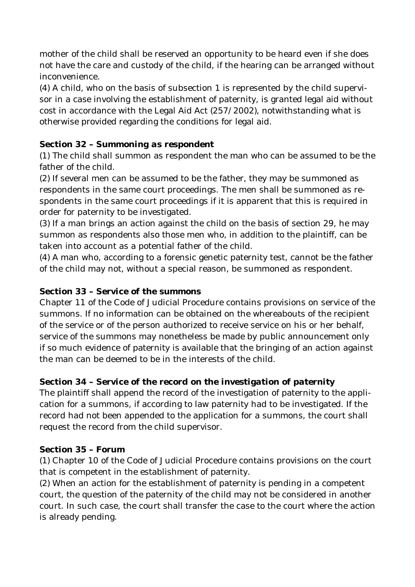mother of the child shall be reserved an opportunity to be heard even if she does not have the care and custody of the child, if the hearing can be arranged without inconvenience.

(4) A child, who on the basis of subsection 1 is represented by the child supervisor in a case involving the establishment of paternity, is granted legal aid without cost in accordance with the Legal Aid Act (257/2002), notwithstanding what is otherwise provided regarding the conditions for legal aid.

### **Section 32 –** *Summoning as respondent*

(1) The child shall summon as respondent the man who can be assumed to be the father of the child.

(2) If several men can be assumed to be the father, they may be summoned as respondents in the same court proceedings. The men shall be summoned as respondents in the same court proceedings if it is apparent that this is required in order for paternity to be investigated.

(3) If a man brings an action against the child on the basis of section 29, he may summon as respondents also those men who, in addition to the plaintiff, can be taken into account as a potential father of the child.

(4) A man who, according to a forensic genetic paternity test, cannot be the father of the child may not, without a special reason, be summoned as respondent.

### **Section 33 –** *Service of the summons*

Chapter 11 of the Code of Judicial Procedure contains provisions on service of the summons. If no information can be obtained on the whereabouts of the recipient of the service or of the person authorized to receive service on his or her behalf, service of the summons may nonetheless be made by public announcement only if so much evidence of paternity is available that the bringing of an action against the man can be deemed to be in the interests of the child.

### **Section 34 –** *Service of the record on the investigation of paternity*

The plaintiff shall append the record of the investigation of paternity to the application for a summons, if according to law paternity had to be investigated. If the record had not been appended to the application for a summons, the court shall request the record from the child supervisor.

### **Section 35 –** *Forum*

(1) Chapter 10 of the Code of Judicial Procedure contains provisions on the court that is competent in the establishment of paternity.

(2) When an action for the establishment of paternity is pending in a competent court, the question of the paternity of the child may not be considered in another court. In such case, the court shall transfer the case to the court where the action is already pending.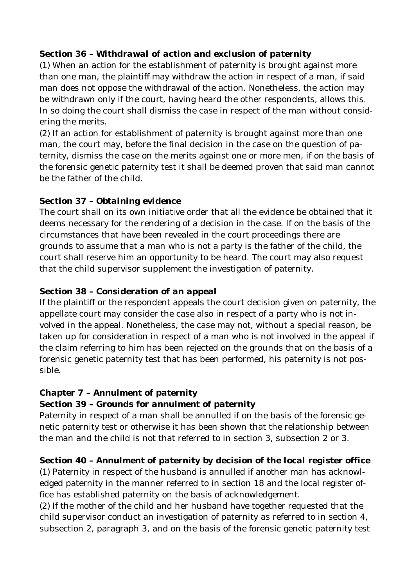### **Section 36 –** *Withdrawal of action and exclusion of paternity*

(1) When an action for the establishment of paternity is brought against more than one man, the plaintiff may withdraw the action in respect of a man, if said man does not oppose the withdrawal of the action. Nonetheless, the action may be withdrawn only if the court, having heard the other respondents, allows this. In so doing the court shall dismiss the case in respect of the man without considering the merits.

(2) If an action for establishment of paternity is brought against more than one man, the court may, before the final decision in the case on the question of paternity, dismiss the case on the merits against one or more men, if on the basis of the forensic genetic paternity test it shall be deemed proven that said man cannot be the father of the child.

### **Section 37 –** *Obtaining evidence*

The court shall on its own initiative order that all the evidence be obtained that it deems necessary for the rendering of a decision in the case. If on the basis of the circumstances that have been revealed in the court proceedings there are grounds to assume that a man who is not a party is the father of the child, the court shall reserve him an opportunity to be heard. The court may also request that the child supervisor supplement the investigation of paternity.

### **Section 38 –** *Consideration of an appeal*

If the plaintiff or the respondent appeals the court decision given on paternity, the appellate court may consider the case also in respect of a party who is not involved in the appeal. Nonetheless, the case may not, without a special reason, be taken up for consideration in respect of a man who is not involved in the appeal if the claim referring to him has been rejected on the grounds that on the basis of a forensic genetic paternity test that has been performed, his paternity is not possible.

### *Chapter 7 – Annulment of paternity*

### **Section 39 –** *Grounds for annulment of paternity*

Paternity in respect of a man shall be annulled if on the basis of the forensic genetic paternity test or otherwise it has been shown that the relationship between the man and the child is not that referred to in section 3, subsection 2 or 3.

**Section 40 –** *Annulment of paternity by decision of the local register office* (1) Paternity in respect of the husband is annulled if another man has acknowledged paternity in the manner referred to in section 18 and the local register office has established paternity on the basis of acknowledgement.

(2) If the mother of the child and her husband have together requested that the child supervisor conduct an investigation of paternity as referred to in section 4, subsection 2, paragraph 3, and on the basis of the forensic genetic paternity test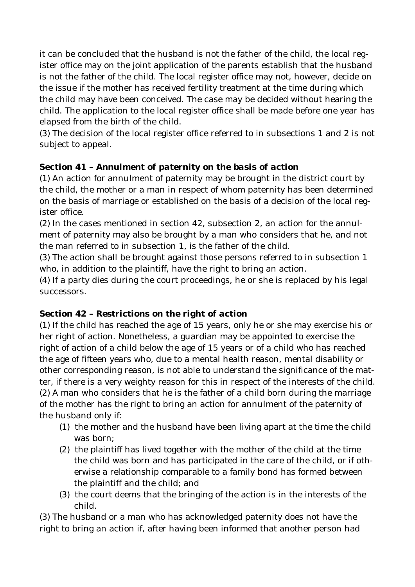it can be concluded that the husband is not the father of the child, the local register office may on the joint application of the parents establish that the husband is not the father of the child. The local register office may not, however, decide on the issue if the mother has received fertility treatment at the time during which the child may have been conceived. The case may be decided without hearing the child. The application to the local register office shall be made before one year has elapsed from the birth of the child.

(3) The decision of the local register office referred to in subsections 1 and 2 is not subject to appeal.

### **Section 41 –** *Annulment of paternity on the basis of action*

(1) An action for annulment of paternity may be brought in the district court by the child, the mother or a man in respect of whom paternity has been determined on the basis of marriage or established on the basis of a decision of the local register office.

(2) In the cases mentioned in section 42, subsection 2, an action for the annulment of paternity may also be brought by a man who considers that he, and not the man referred to in subsection 1, is the father of the child.

(3) The action shall be brought against those persons referred to in subsection 1 who, in addition to the plaintiff, have the right to bring an action.

(4) If a party dies during the court proceedings, he or she is replaced by his legal successors.

### **Section 42 –** *Restrictions on the right of action*

(1) If the child has reached the age of 15 years, only he or she may exercise his or her right of action. Nonetheless, a guardian may be appointed to exercise the right of action of a child below the age of 15 years or of a child who has reached the age of fifteen years who, due to a mental health reason, mental disability or other corresponding reason, is not able to understand the significance of the matter, if there is a very weighty reason for this in respect of the interests of the child. (2) A man who considers that he is the father of a child born during the marriage of the mother has the right to bring an action for annulment of the paternity of the husband only if:

- (1) the mother and the husband have been living apart at the time the child was born;
- (2) the plaintiff has lived together with the mother of the child at the time the child was born and has participated in the care of the child, or if otherwise a relationship comparable to a family bond has formed between the plaintiff and the child; and
- (3) the court deems that the bringing of the action is in the interests of the child.

(3) The husband or a man who has acknowledged paternity does not have the right to bring an action if, after having been informed that another person had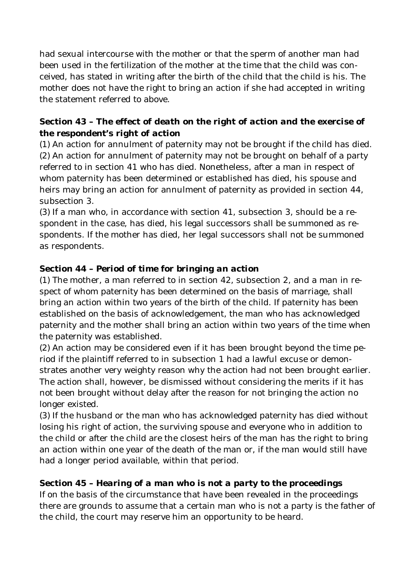had sexual intercourse with the mother or that the sperm of another man had been used in the fertilization of the mother at the time that the child was conceived, has stated in writing after the birth of the child that the child is his. The mother does not have the right to bring an action if she had accepted in writing the statement referred to above.

## **Section 43 –** *The effect of death on the right of action and the exercise of the respondent's right of action*

(1) An action for annulment of paternity may not be brought if the child has died. (2) An action for annulment of paternity may not be brought on behalf of a party referred to in section 41 who has died. Nonetheless, after a man in respect of whom paternity has been determined or established has died, his spouse and heirs may bring an action for annulment of paternity as provided in section 44, subsection 3.

(3) If a man who, in accordance with section 41, subsection 3, should be a respondent in the case, has died, his legal successors shall be summoned as respondents. If the mother has died, her legal successors shall not be summoned as respondents.

### **Section 44 –** *Period of time for bringing an action*

(1) The mother, a man referred to in section 42, subsection 2, and a man in respect of whom paternity has been determined on the basis of marriage, shall bring an action within two years of the birth of the child. If paternity has been established on the basis of acknowledgement, the man who has acknowledged paternity and the mother shall bring an action within two years of the time when the paternity was established.

(2) An action may be considered even if it has been brought beyond the time period if the plaintiff referred to in subsection 1 had a lawful excuse or demonstrates another very weighty reason why the action had not been brought earlier. The action shall, however, be dismissed without considering the merits if it has not been brought without delay after the reason for not bringing the action no longer existed.

(3) If the husband or the man who has acknowledged paternity has died without losing his right of action, the surviving spouse and everyone who in addition to the child or after the child are the closest heirs of the man has the right to bring an action within one year of the death of the man or, if the man would still have had a longer period available, within that period.

**Section 45 –** *Hearing of a man who is not a party to the proceedings* If on the basis of the circumstance that have been revealed in the proceedings there are grounds to assume that a certain man who is not a party is the father of the child, the court may reserve him an opportunity to be heard.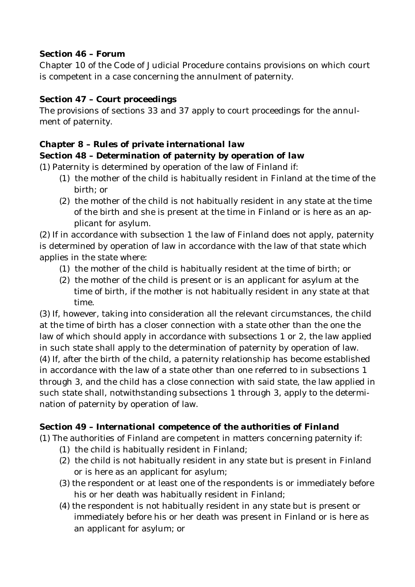### **Section 46 –** *Forum*

Chapter 10 of the Code of Judicial Procedure contains provisions on which court is competent in a case concerning the annulment of paternity.

### **Section 47 –** *Court proceedings*

The provisions of sections 33 and 37 apply to court proceedings for the annulment of paternity.

### *Chapter 8 – Rules of private international law*

### **Section 48 –** *Determination of paternity by operation of law*

(1) Paternity is determined by operation of the law of Finland if:

- (1) the mother of the child is habitually resident in Finland at the time of the birth; or
- (2) the mother of the child is not habitually resident in any state at the time of the birth and she is present at the time in Finland or is here as an applicant for asylum.

(2) If in accordance with subsection 1 the law of Finland does not apply, paternity is determined by operation of law in accordance with the law of that state which applies in the state where:

- (1) the mother of the child is habitually resident at the time of birth; or
- (2) the mother of the child is present or is an applicant for asylum at the time of birth, if the mother is not habitually resident in any state at that time.

(3) If, however, taking into consideration all the relevant circumstances, the child at the time of birth has a closer connection with a state other than the one the law of which should apply in accordance with subsections 1 or 2, the law applied in such state shall apply to the determination of paternity by operation of law. (4) If, after the birth of the child, a paternity relationship has become established in accordance with the law of a state other than one referred to in subsections 1 through 3, and the child has a close connection with said state, the law applied in such state shall, notwithstanding subsections 1 through 3, apply to the determination of paternity by operation of law.

### **Section 49 –** *International competence of the authorities of Finland*

- (1) The authorities of Finland are competent in matters concerning paternity if: (1) the child is habitually resident in Finland;
	- (2) the child is not habitually resident in any state but is present in Finland or is here as an applicant for asylum;
	- (3) the respondent or at least one of the respondents is or immediately before his or her death was habitually resident in Finland;
	- (4) the respondent is not habitually resident in any state but is present or immediately before his or her death was present in Finland or is here as an applicant for asylum; or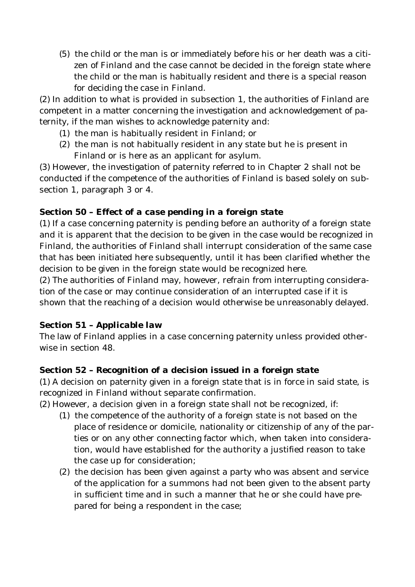(5) the child or the man is or immediately before his or her death was a citizen of Finland and the case cannot be decided in the foreign state where the child or the man is habitually resident and there is a special reason for deciding the case in Finland.

(2) In addition to what is provided in subsection 1, the authorities of Finland are competent in a matter concerning the investigation and acknowledgement of paternity, if the man wishes to acknowledge paternity and:

- (1) the man is habitually resident in Finland; or
- (2) the man is not habitually resident in any state but he is present in Finland or is here as an applicant for asylum.

(3) However, the investigation of paternity referred to in Chapter 2 shall not be conducted if the competence of the authorities of Finland is based solely on subsection 1, paragraph 3 or 4.

### **Section 50 –** *Effect of a case pending in a foreign state*

(1) If a case concerning paternity is pending before an authority of a foreign state and it is apparent that the decision to be given in the case would be recognized in Finland, the authorities of Finland shall interrupt consideration of the same case that has been initiated here subsequently, until it has been clarified whether the decision to be given in the foreign state would be recognized here.

(2) The authorities of Finland may, however, refrain from interrupting consideration of the case or may continue consideration of an interrupted case if it is shown that the reaching of a decision would otherwise be unreasonably delayed.

### **Section 51 –** *Applicable law*

The law of Finland applies in a case concerning paternity unless provided otherwise in section 48.

## **Section 52 –** *Recognition of a decision issued in a foreign state*

(1) A decision on paternity given in a foreign state that is in force in said state, is recognized in Finland without separate confirmation.

(2) However, a decision given in a foreign state shall not be recognized, if:

- (1) the competence of the authority of a foreign state is not based on the place of residence or domicile, nationality or citizenship of any of the parties or on any other connecting factor which, when taken into consideration, would have established for the authority a justified reason to take the case up for consideration;
- (2) the decision has been given against a party who was absent and service of the application for a summons had not been given to the absent party in sufficient time and in such a manner that he or she could have prepared for being a respondent in the case;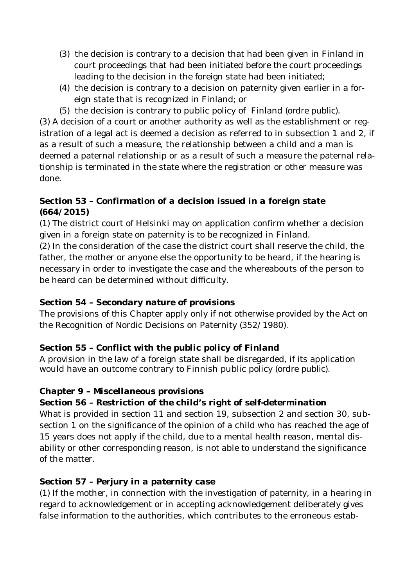- (3) the decision is contrary to a decision that had been given in Finland in court proceedings that had been initiated before the court proceedings leading to the decision in the foreign state had been initiated;
- (4) the decision is contrary to a decision on paternity given earlier in a foreign state that is recognized in Finland; or
- (5) the decision is contrary to public policy of Finland (*ordre public*).

(3) A decision of a court or another authority as well as the establishment or registration of a legal act is deemed a decision as referred to in subsection 1 and 2, if as a result of such a measure, the relationship between a child and a man is deemed a paternal relationship or as a result of such a measure the paternal relationship is terminated in the state where the registration or other measure was done.

## **Section 53 –** *Confirmation of a decision issued in a foreign state* **(664/2015)**

(1) The district court of Helsinki may on application confirm whether a decision given in a foreign state on paternity is to be recognized in Finland.

(2) In the consideration of the case the district court shall reserve the child, the father, the mother or anyone else the opportunity to be heard, if the hearing is necessary in order to investigate the case and the whereabouts of the person to be heard can be determined without difficulty.

## **Section 54 –** *Secondary nature of provisions*

The provisions of this Chapter apply only if not otherwise provided by the Act on the Recognition of Nordic Decisions on Paternity (352/1980).

# **Section 55 –** *Conflict with the public policy of Finland*

A provision in the law of a foreign state shall be disregarded, if its application would have an outcome contrary to Finnish public policy (*ordre public*).

## *Chapter 9 – Miscellaneous provisions*

**Section 56 –** *Restriction of the child's right of self-determination* What is provided in section 11 and section 19, subsection 2 and section 30, subsection 1 on the significance of the opinion of a child who has reached the age of 15 years does not apply if the child, due to a mental health reason, mental disability or other corresponding reason, is not able to understand the significance of the matter.

## **Section 57 –** *Perjury in a paternity case*

(1) If the mother, in connection with the investigation of paternity, in a hearing in regard to acknowledgement or in accepting acknowledgement deliberately gives false information to the authorities, which contributes to the erroneous estab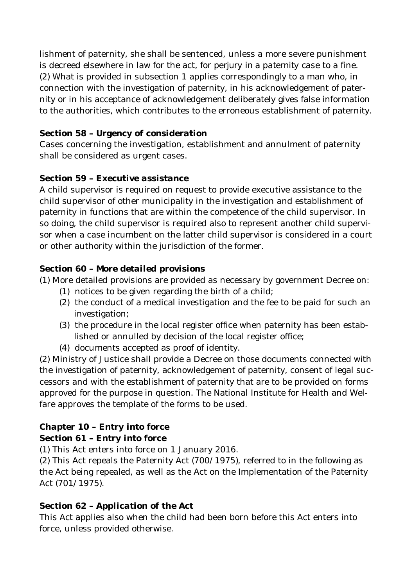lishment of paternity, she shall be sentenced, unless a more severe punishment is decreed elsewhere in law for the act, for *perjury in a paternity case* to a fine. (2) What is provided in subsection 1 applies correspondingly to a man who, in connection with the investigation of paternity, in his acknowledgement of paternity or in his acceptance of acknowledgement deliberately gives false information to the authorities, which contributes to the erroneous establishment of paternity.

#### **Section 58 –** *Urgency of consideration*

Cases concerning the investigation, establishment and annulment of paternity shall be considered as urgent cases.

### **Section 59 –** *Executive assistance*

A child supervisor is required on request to provide executive assistance to the child supervisor of other municipality in the investigation and establishment of paternity in functions that are within the competence of the child supervisor. In so doing, the child supervisor is required also to represent another child supervisor when a case incumbent on the latter child supervisor is considered in a court or other authority within the jurisdiction of the former.

### **Section 60 –** *More detailed provisions*

(1) More detailed provisions are provided as necessary by government Decree on:

- (1) notices to be given regarding the birth of a child;
- (2) the conduct of a medical investigation and the fee to be paid for such an investigation;
- (3) the procedure in the local register office when paternity has been established or annulled by decision of the local register office;
- (4) documents accepted as proof of identity.

(2) Ministry of Justice shall provide a Decree on those documents connected with the investigation of paternity, acknowledgement of paternity, consent of legal successors and with the establishment of paternity that are to be provided on forms approved for the purpose in question. The National Institute for Health and Welfare approves the template of the forms to be used.

### *Chapter 10 – Entry into force*

**Section 61 –** *Entry into force*

(1) This Act enters into force on 1 January 2016.

(2) This Act repeals the Paternity Act (700/1975), referred to in the following as the Act being repealed, as well as the Act on the Implementation of the Paternity Act (701/1975).

#### **Section 62 –** *Application of the Act*

This Act applies also when the child had been born before this Act enters into force, unless provided otherwise.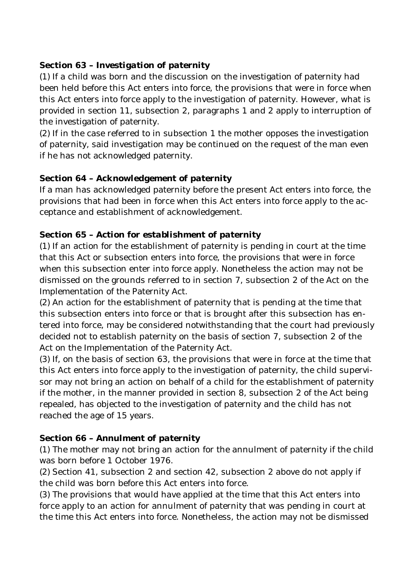### **Section 63 –** *Investigation of paternity*

(1) If a child was born and the discussion on the investigation of paternity had been held before this Act enters into force, the provisions that were in force when this Act enters into force apply to the investigation of paternity. However, what is provided in section 11, subsection 2, paragraphs 1 and 2 apply to interruption of the investigation of paternity.

(2) If in the case referred to in subsection 1 the mother opposes the investigation of paternity, said investigation may be continued on the request of the man even if he has not acknowledged paternity.

### **Section 64 –** *Acknowledgement of paternity*

If a man has acknowledged paternity before the present Act enters into force, the provisions that had been in force when this Act enters into force apply to the acceptance and establishment of acknowledgement.

### **Section 65 –** *Action for establishment of paternity*

(1) If an action for the establishment of paternity is pending in court at the time that this Act or subsection enters into force, the provisions that were in force when this subsection enter into force apply. Nonetheless the action may not be dismissed on the grounds referred to in section 7, subsection 2 of the Act on the Implementation of the Paternity Act.

(2) An action for the establishment of paternity that is pending at the time that this subsection enters into force or that is brought after this subsection has entered into force, may be considered notwithstanding that the court had previously decided not to establish paternity on the basis of section 7, subsection 2 of the Act on the Implementation of the Paternity Act.

(3) If, on the basis of section 63, the provisions that were in force at the time that this Act enters into force apply to the investigation of paternity, the child supervisor may not bring an action on behalf of a child for the establishment of paternity if the mother, in the manner provided in section 8, subsection 2 of the Act being repealed, has objected to the investigation of paternity and the child has not reached the age of 15 years.

### **Section 66 –** *Annulment of paternity*

(1) The mother may not bring an action for the annulment of paternity if the child was born before 1 October 1976.

(2) Section 41, subsection 2 and section 42, subsection 2 above do not apply if the child was born before this Act enters into force.

(3) The provisions that would have applied at the time that this Act enters into force apply to an action for annulment of paternity that was pending in court at the time this Act enters into force. Nonetheless, the action may not be dismissed